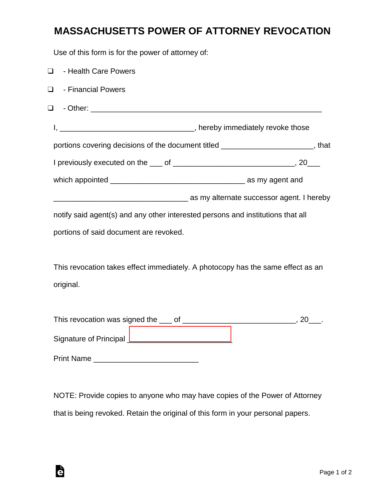## **MASSACHUSETTS POWER OF ATTORNEY REVOCATION**

Use of this form is for the power of attorney of:

| $\Box$                                                                          | - Health Care Powers                                                             |  |
|---------------------------------------------------------------------------------|----------------------------------------------------------------------------------|--|
| $\Box$                                                                          | - Financial Powers                                                               |  |
| $\Box$                                                                          |                                                                                  |  |
|                                                                                 |                                                                                  |  |
|                                                                                 | portions covering decisions of the document titled _______________________, that |  |
|                                                                                 |                                                                                  |  |
|                                                                                 |                                                                                  |  |
|                                                                                 | <b>Allerge Street Section Section</b> 2014 11 Acreby                             |  |
| notify said agent(s) and any other interested persons and institutions that all |                                                                                  |  |
|                                                                                 | portions of said document are revoked.                                           |  |
|                                                                                 |                                                                                  |  |
| This revocation takes effect immediately. A photocopy has the same effect as an |                                                                                  |  |
|                                                                                 | original.                                                                        |  |
|                                                                                 |                                                                                  |  |
|                                                                                 |                                                                                  |  |
|                                                                                 | Signature of Principal _________________________________                         |  |

Print Name \_\_\_\_\_\_\_\_\_\_\_\_\_\_\_\_\_\_\_\_\_\_\_\_\_

Ġ

NOTE: Provide copies to anyone who may have copies of the Power of Attorney that is being revoked. Retain the original of this form in your personal papers.